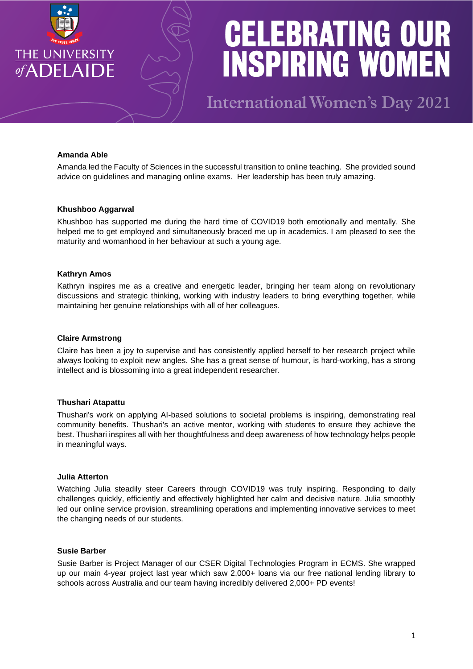

**International Women's Day 2021** 

# **Amanda Able**

Amanda led the Faculty of Sciences in the successful transition to online teaching. She provided sound advice on guidelines and managing online exams. Her leadership has been truly amazing.

#### **Khushboo Aggarwal**

Khushboo has supported me during the hard time of COVID19 both emotionally and mentally. She helped me to get employed and simultaneously braced me up in academics. I am pleased to see the maturity and womanhood in her behaviour at such a young age.

### **Kathryn Amos**

Kathryn inspires me as a creative and energetic leader, bringing her team along on revolutionary discussions and strategic thinking, working with industry leaders to bring everything together, while maintaining her genuine relationships with all of her colleagues.

### **Claire Armstrong**

Claire has been a joy to supervise and has consistently applied herself to her research project while always looking to exploit new angles. She has a great sense of humour, is hard-working, has a strong intellect and is blossoming into a great independent researcher.

# **Thushari Atapattu**

Thushari's work on applying AI-based solutions to societal problems is inspiring, demonstrating real community benefits. Thushari's an active mentor, working with students to ensure they achieve the best. Thushari inspires all with her thoughtfulness and deep awareness of how technology helps people in meaningful ways.

#### **Julia Atterton**

Watching Julia steadily steer Careers through COVID19 was truly inspiring. Responding to daily challenges quickly, efficiently and effectively highlighted her calm and decisive nature. Julia smoothly led our online service provision, streamlining operations and implementing innovative services to meet the changing needs of our students.

## **Susie Barber**

Susie Barber is Project Manager of our CSER Digital Technologies Program in ECMS. She wrapped up our main 4-year project last year which saw 2,000+ loans via our free national lending library to schools across Australia and our team having incredibly delivered 2,000+ PD events!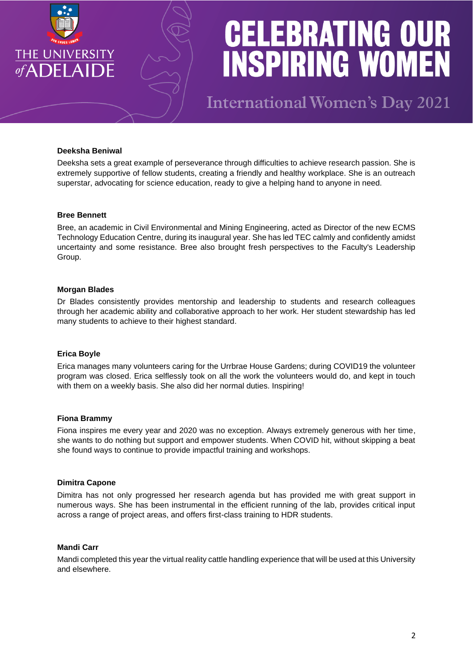

**International Women's Day 2021** 

## **Deeksha Beniwal**

Deeksha sets a great example of perseverance through difficulties to achieve research passion. She is extremely supportive of fellow students, creating a friendly and healthy workplace. She is an outreach superstar, advocating for science education, ready to give a helping hand to anyone in need.

#### **Bree Bennett**

Bree, an academic in Civil Environmental and Mining Engineering, acted as Director of the new ECMS Technology Education Centre, during its inaugural year. She has led TEC calmly and confidently amidst uncertainty and some resistance. Bree also brought fresh perspectives to the Faculty's Leadership Group.

### **Morgan Blades**

Dr Blades consistently provides mentorship and leadership to students and research colleagues through her academic ability and collaborative approach to her work. Her student stewardship has led many students to achieve to their highest standard.

#### **Erica Boyle**

Erica manages many volunteers caring for the Urrbrae House Gardens; during COVID19 the volunteer program was closed. Erica selflessly took on all the work the volunteers would do, and kept in touch with them on a weekly basis. She also did her normal duties. Inspiring!

#### **Fiona Brammy**

Fiona inspires me every year and 2020 was no exception. Always extremely generous with her time, she wants to do nothing but support and empower students. When COVID hit, without skipping a beat she found ways to continue to provide impactful training and workshops.

#### **Dimitra Capone**

Dimitra has not only progressed her research agenda but has provided me with great support in numerous ways. She has been instrumental in the efficient running of the lab, provides critical input across a range of project areas, and offers first-class training to HDR students.

#### **Mandi Carr**

Mandi completed this year the virtual reality cattle handling experience that will be used at this University and elsewhere.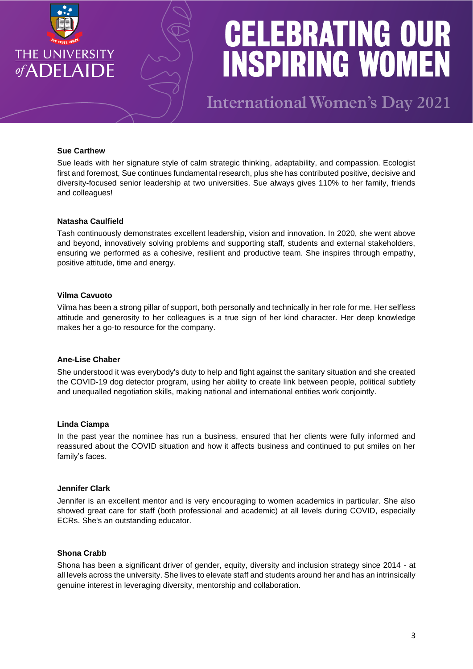

**International Women's Day 2021** 

### **Sue Carthew**

Sue leads with her signature style of calm strategic thinking, adaptability, and compassion. Ecologist first and foremost, Sue continues fundamental research, plus she has contributed positive, decisive and diversity-focused senior leadership at two universities. Sue always gives 110% to her family, friends and colleagues!

#### **Natasha Caulfield**

Tash continuously demonstrates excellent leadership, vision and innovation. In 2020, she went above and beyond, innovatively solving problems and supporting staff, students and external stakeholders, ensuring we performed as a cohesive, resilient and productive team. She inspires through empathy, positive attitude, time and energy.

#### **Vilma Cavuoto**

Vilma has been a strong pillar of support, both personally and technically in her role for me. Her selfless attitude and generosity to her colleagues is a true sign of her kind character. Her deep knowledge makes her a go-to resource for the company.

## **Ane-Lise Chaber**

She understood it was everybody's duty to help and fight against the sanitary situation and she created the COVID-19 dog detector program, using her ability to create link between people, political subtlety and unequalled negotiation skills, making national and international entities work conjointly.

#### **Linda Ciampa**

In the past year the nominee has run a business, ensured that her clients were fully informed and reassured about the COVID situation and how it affects business and continued to put smiles on her family's faces.

#### **Jennifer Clark**

Jennifer is an excellent mentor and is very encouraging to women academics in particular. She also showed great care for staff (both professional and academic) at all levels during COVID, especially ECRs. She's an outstanding educator.

### **Shona Crabb**

Shona has been a significant driver of gender, equity, diversity and inclusion strategy since 2014 - at all levels across the university. She lives to elevate staff and students around her and has an intrinsically genuine interest in leveraging diversity, mentorship and collaboration.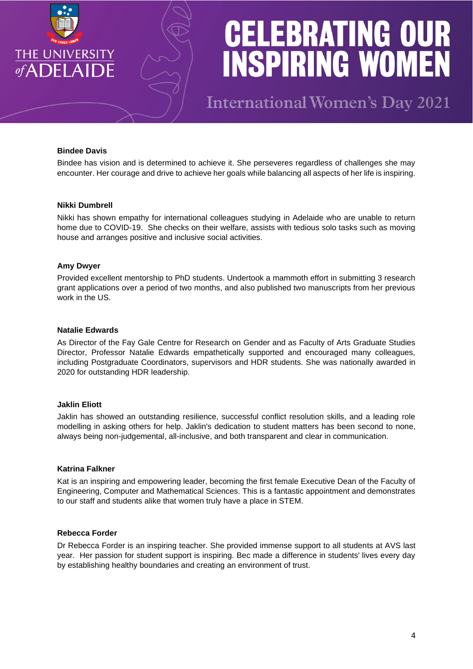

**International Women's Day 2021** 

## **Bindee Davis**

Bindee has vision and is determined to achieve it. She perseveres regardless of challenges she may encounter. Her courage and drive to achieve her goals while balancing all aspects of her life is inspiring.

#### **Nikki Dumbrell**

Nikki has shown empathy for international colleagues studying in Adelaide who are unable to return home due to COVID-19. She checks on their welfare, assists with tedious solo tasks such as moving house and arranges positive and inclusive social activities.

#### **Amy Dwyer**

Provided excellent mentorship to PhD students. Undertook a mammoth effort in submitting 3 research grant applications over a period of two months, and also published two manuscripts from her previous work in the US.

#### **Natalie Edwards**

As Director of the Fay Gale Centre for Research on Gender and as Faculty of Arts Graduate Studies Director, Professor Natalie Edwards empathetically supported and encouraged many colleagues, including Postgraduate Coordinators, supervisors and HDR students. She was nationally awarded in 2020 for outstanding HDR leadership.

#### **Jaklin Eliott**

Jaklin has showed an outstanding resilience, successful conflict resolution skills, and a leading role modelling in asking others for help. Jaklin's dedication to student matters has been second to none, always being non-judgemental, all-inclusive, and both transparent and clear in communication.

## **Katrina Falkner**

Kat is an inspiring and empowering leader, becoming the first female Executive Dean of the Faculty of Engineering, Computer and Mathematical Sciences. This is a fantastic appointment and demonstrates to our staff and students alike that women truly have a place in STEM.

#### **Rebecca Forder**

Dr Rebecca Forder is an inspiring teacher. She provided immense support to all students at AVS last year. Her passion for student support is inspiring. Bec made a difference in students' lives every day by establishing healthy boundaries and creating an environment of trust.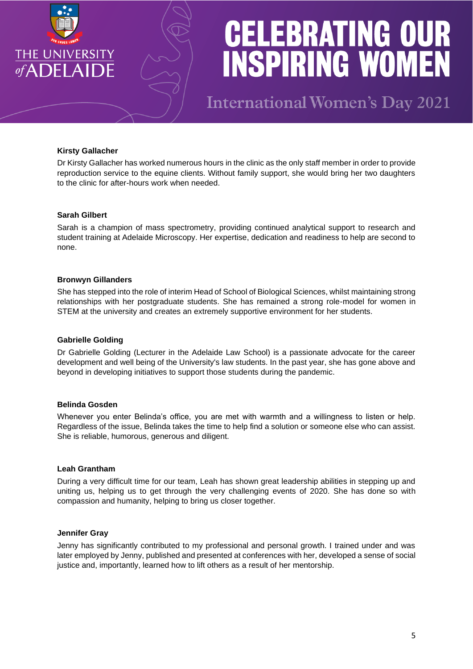

**International Women's Day 2021** 

# **Kirsty Gallacher**

Dr Kirsty Gallacher has worked numerous hours in the clinic as the only staff member in order to provide reproduction service to the equine clients. Without family support, she would bring her two daughters to the clinic for after-hours work when needed.

# **Sarah Gilbert**

Sarah is a champion of mass spectrometry, providing continued analytical support to research and student training at Adelaide Microscopy. Her expertise, dedication and readiness to help are second to none.

### **Bronwyn Gillanders**

She has stepped into the role of interim Head of School of Biological Sciences, whilst maintaining strong relationships with her postgraduate students. She has remained a strong role-model for women in STEM at the university and creates an extremely supportive environment for her students.

# **Gabrielle Golding**

Dr Gabrielle Golding (Lecturer in the Adelaide Law School) is a passionate advocate for the career development and well being of the University's law students. In the past year, she has gone above and beyond in developing initiatives to support those students during the pandemic.

## **Belinda Gosden**

Whenever you enter Belinda's office, you are met with warmth and a willingness to listen or help. Regardless of the issue, Belinda takes the time to help find a solution or someone else who can assist. She is reliable, humorous, generous and diligent.

#### **Leah Grantham**

During a very difficult time for our team, Leah has shown great leadership abilities in stepping up and uniting us, helping us to get through the very challenging events of 2020. She has done so with compassion and humanity, helping to bring us closer together.

#### **Jennifer Gray**

Jenny has significantly contributed to my professional and personal growth. I trained under and was later employed by Jenny, published and presented at conferences with her, developed a sense of social justice and, importantly, learned how to lift others as a result of her mentorship.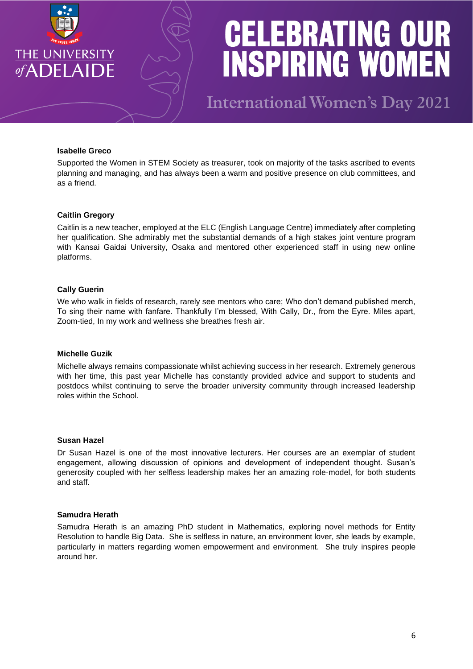

**International Women's Day 2021** 

### **Isabelle Greco**

Supported the Women in STEM Society as treasurer, took on majority of the tasks ascribed to events planning and managing, and has always been a warm and positive presence on club committees, and as a friend.

### **Caitlin Gregory**

Caitlin is a new teacher, employed at the ELC (English Language Centre) immediately after completing her qualification. She admirably met the substantial demands of a high stakes joint venture program with Kansai Gaidai University, Osaka and mentored other experienced staff in using new online platforms.

### **Cally Guerin**

We who walk in fields of research, rarely see mentors who care; Who don't demand published merch, To sing their name with fanfare. Thankfully I'm blessed, With Cally, Dr., from the Eyre. Miles apart, Zoom-tied, In my work and wellness she breathes fresh air.

#### **Michelle Guzik**

Michelle always remains compassionate whilst achieving success in her research. Extremely generous with her time, this past year Michelle has constantly provided advice and support to students and postdocs whilst continuing to serve the broader university community through increased leadership roles within the School.

### **Susan Hazel**

Dr Susan Hazel is one of the most innovative lecturers. Her courses are an exemplar of student engagement, allowing discussion of opinions and development of independent thought. Susan's generosity coupled with her selfless leadership makes her an amazing role-model, for both students and staff.

#### **Samudra Herath**

Samudra Herath is an amazing PhD student in Mathematics, exploring novel methods for Entity Resolution to handle Big Data. She is selfless in nature, an environment lover, she leads by example, particularly in matters regarding women empowerment and environment. She truly inspires people around her.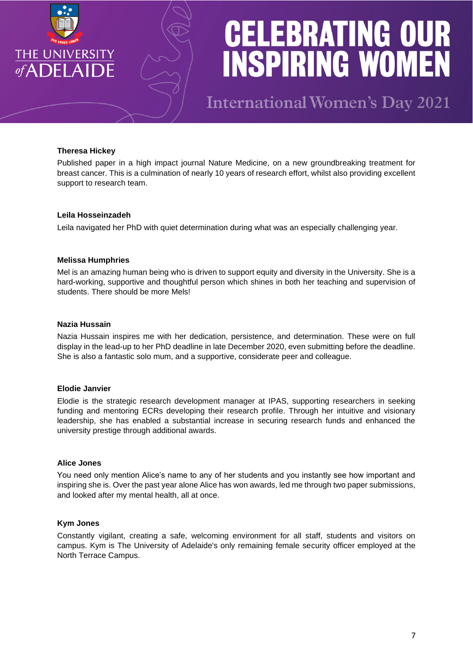

**International Women's Day 2021** 

# **Theresa Hickey**

Published paper in a high impact journal Nature Medicine, on a new groundbreaking treatment for breast cancer. This is a culmination of nearly 10 years of research effort, whilst also providing excellent support to research team.

# **Leila Hosseinzadeh**

Leila navigated her PhD with quiet determination during what was an especially challenging year.

# **Melissa Humphries**

Mel is an amazing human being who is driven to support equity and diversity in the University. She is a hard-working, supportive and thoughtful person which shines in both her teaching and supervision of students. There should be more Mels!

# **Nazia Hussain**

Nazia Hussain inspires me with her dedication, persistence, and determination. These were on full display in the lead-up to her PhD deadline in late December 2020, even submitting before the deadline. She is also a fantastic solo mum, and a supportive, considerate peer and colleague.

# **Elodie Janvier**

Elodie is the strategic research development manager at IPAS, supporting researchers in seeking funding and mentoring ECRs developing their research profile. Through her intuitive and visionary leadership, she has enabled a substantial increase in securing research funds and enhanced the university prestige through additional awards.

# **Alice Jones**

You need only mention Alice's name to any of her students and you instantly see how important and inspiring she is. Over the past year alone Alice has won awards, led me through two paper submissions, and looked after my mental health, all at once.

# **Kym Jones**

Constantly vigilant, creating a safe, welcoming environment for all staff, students and visitors on campus. Kym is The University of Adelaide's only remaining female security officer employed at the North Terrace Campus.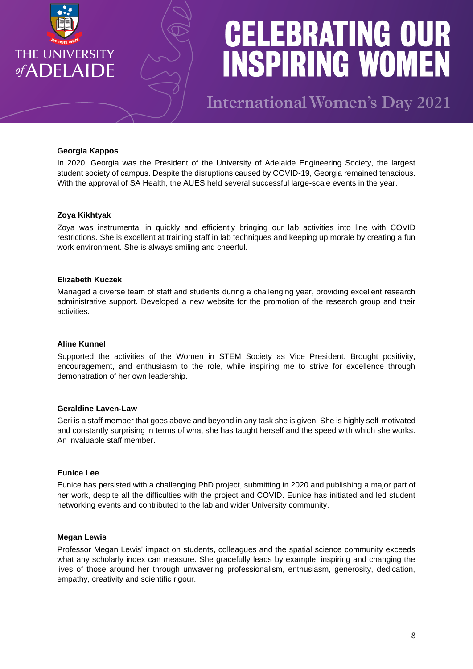

**International Women's Day 2021** 

### **Georgia Kappos**

In 2020, Georgia was the President of the University of Adelaide Engineering Society, the largest student society of campus. Despite the disruptions caused by COVID-19, Georgia remained tenacious. With the approval of SA Health, the AUES held several successful large-scale events in the year.

#### **Zoya Kikhtyak**

Zoya was instrumental in quickly and efficiently bringing our lab activities into line with COVID restrictions. She is excellent at training staff in lab techniques and keeping up morale by creating a fun work environment. She is always smiling and cheerful.

#### **Elizabeth Kuczek**

Managed a diverse team of staff and students during a challenging year, providing excellent research administrative support. Developed a new website for the promotion of the research group and their activities.

#### **Aline Kunnel**

Supported the activities of the Women in STEM Society as Vice President. Brought positivity, encouragement, and enthusiasm to the role, while inspiring me to strive for excellence through demonstration of her own leadership.

#### **Geraldine Laven-Law**

Geri is a staff member that goes above and beyond in any task she is given. She is highly self-motivated and constantly surprising in terms of what she has taught herself and the speed with which she works. An invaluable staff member.

#### **Eunice Lee**

Eunice has persisted with a challenging PhD project, submitting in 2020 and publishing a major part of her work, despite all the difficulties with the project and COVID. Eunice has initiated and led student networking events and contributed to the lab and wider University community.

#### **Megan Lewis**

Professor Megan Lewis' impact on students, colleagues and the spatial science community exceeds what any scholarly index can measure. She gracefully leads by example, inspiring and changing the lives of those around her through unwavering professionalism, enthusiasm, generosity, dedication, empathy, creativity and scientific rigour.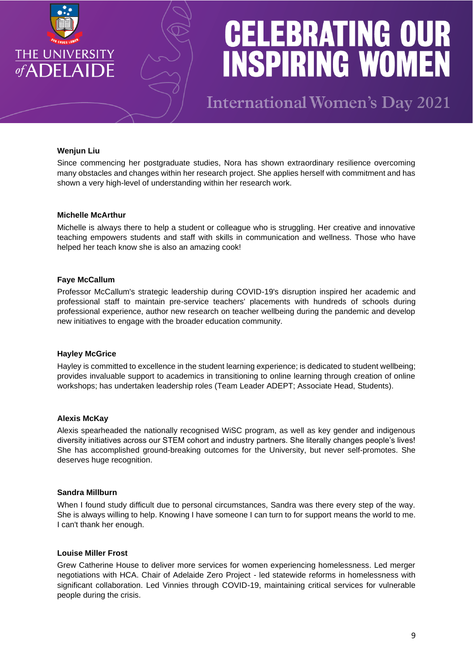

**International Women's Day 2021** 

## **Wenjun Liu**

Since commencing her postgraduate studies. Nora has shown extraordinary resilience overcoming many obstacles and changes within her research project. She applies herself with commitment and has shown a very high-level of understanding within her research work.

## **Michelle McArthur**

Michelle is always there to help a student or colleague who is struggling. Her creative and innovative teaching empowers students and staff with skills in communication and wellness. Those who have helped her teach know she is also an amazing cook!

#### **Faye McCallum**

Professor McCallum's strategic leadership during COVID-19's disruption inspired her academic and professional staff to maintain pre-service teachers' placements with hundreds of schools during professional experience, author new research on teacher wellbeing during the pandemic and develop new initiatives to engage with the broader education community.

#### **Hayley McGrice**

Hayley is committed to excellence in the student learning experience; is dedicated to student wellbeing; provides invaluable support to academics in transitioning to online learning through creation of online workshops; has undertaken leadership roles (Team Leader ADEPT; Associate Head, Students).

#### **Alexis McKay**

Alexis spearheaded the nationally recognised WiSC program, as well as key gender and indigenous diversity initiatives across our STEM cohort and industry partners. She literally changes people's lives! She has accomplished ground-breaking outcomes for the University, but never self-promotes. She deserves huge recognition.

#### **Sandra Millburn**

When I found study difficult due to personal circumstances, Sandra was there every step of the way. She is always willing to help. Knowing I have someone I can turn to for support means the world to me. I can't thank her enough.

#### **Louise Miller Frost**

Grew Catherine House to deliver more services for women experiencing homelessness. Led merger negotiations with HCA. Chair of Adelaide Zero Project - led statewide reforms in homelessness with significant collaboration. Led Vinnies through COVID-19, maintaining critical services for vulnerable people during the crisis.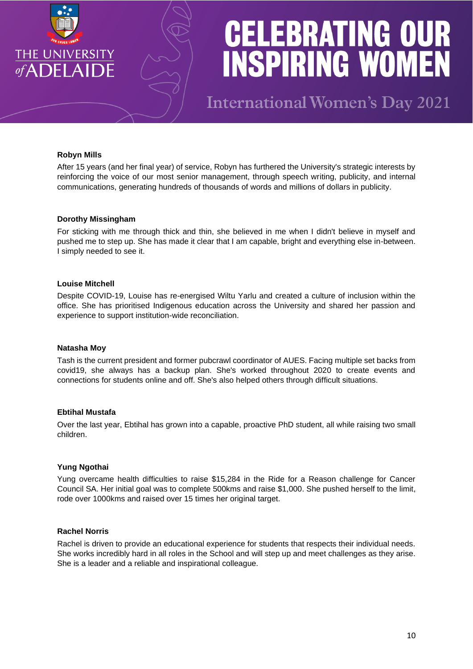

**International Women's Day 2021** 

## **Robyn Mills**

After 15 years (and her final year) of service, Robyn has furthered the University's strategic interests by reinforcing the voice of our most senior management, through speech writing, publicity, and internal communications, generating hundreds of thousands of words and millions of dollars in publicity.

#### **Dorothy Missingham**

For sticking with me through thick and thin, she believed in me when I didn't believe in myself and pushed me to step up. She has made it clear that I am capable, bright and everything else in-between. I simply needed to see it.

### **Louise Mitchell**

Despite COVID-19, Louise has re-energised Wiltu Yarlu and created a culture of inclusion within the office. She has prioritised Indigenous education across the University and shared her passion and experience to support institution-wide reconciliation.

#### **Natasha Moy**

Tash is the current president and former pubcrawl coordinator of AUES. Facing multiple set backs from covid19, she always has a backup plan. She's worked throughout 2020 to create events and connections for students online and off. She's also helped others through difficult situations.

# **Ebtihal Mustafa**

Over the last year, Ebtihal has grown into a capable, proactive PhD student, all while raising two small children.

# **Yung Ngothai**

Yung overcame health difficulties to raise \$15,284 in the Ride for a Reason challenge for Cancer Council SA. Her initial goal was to complete 500kms and raise \$1,000. She pushed herself to the limit, rode over 1000kms and raised over 15 times her original target.

#### **Rachel Norris**

Rachel is driven to provide an educational experience for students that respects their individual needs. She works incredibly hard in all roles in the School and will step up and meet challenges as they arise. She is a leader and a reliable and inspirational colleague.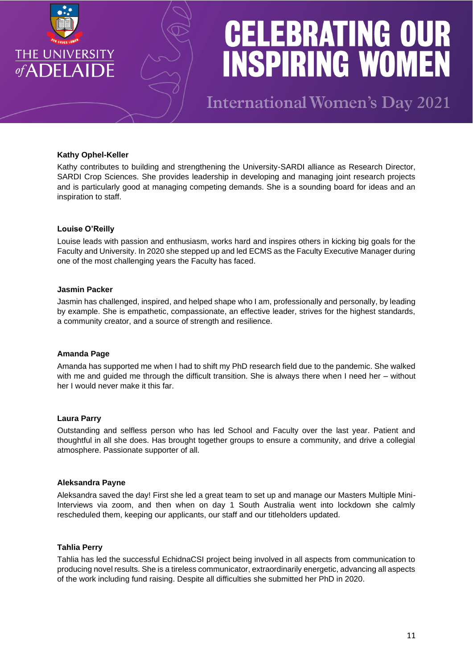

**International Women's Day 2021** 

## **Kathy Ophel-Keller**

Kathy contributes to building and strengthening the University-SARDI alliance as Research Director, SARDI Crop Sciences. She provides leadership in developing and managing joint research projects and is particularly good at managing competing demands. She is a sounding board for ideas and an inspiration to staff.

### **Louise O'Reilly**

Louise leads with passion and enthusiasm, works hard and inspires others in kicking big goals for the Faculty and University. In 2020 she stepped up and led ECMS as the Faculty Executive Manager during one of the most challenging years the Faculty has faced.

### **Jasmin Packer**

Jasmin has challenged, inspired, and helped shape who I am, professionally and personally, by leading by example. She is empathetic, compassionate, an effective leader, strives for the highest standards, a community creator, and a source of strength and resilience.

#### **Amanda Page**

Amanda has supported me when I had to shift my PhD research field due to the pandemic. She walked with me and guided me through the difficult transition. She is always there when I need her – without her I would never make it this far.

#### **Laura Parry**

Outstanding and selfless person who has led School and Faculty over the last year. Patient and thoughtful in all she does. Has brought together groups to ensure a community, and drive a collegial atmosphere. Passionate supporter of all.

#### **Aleksandra Payne**

Aleksandra saved the day! First she led a great team to set up and manage our Masters Multiple Mini-Interviews via zoom, and then when on day 1 South Australia went into lockdown she calmly rescheduled them, keeping our applicants, our staff and our titleholders updated.

### **Tahlia Perry**

Tahlia has led the successful EchidnaCSI project being involved in all aspects from communication to producing novel results. She is a tireless communicator, extraordinarily energetic, advancing all aspects of the work including fund raising. Despite all difficulties she submitted her PhD in 2020.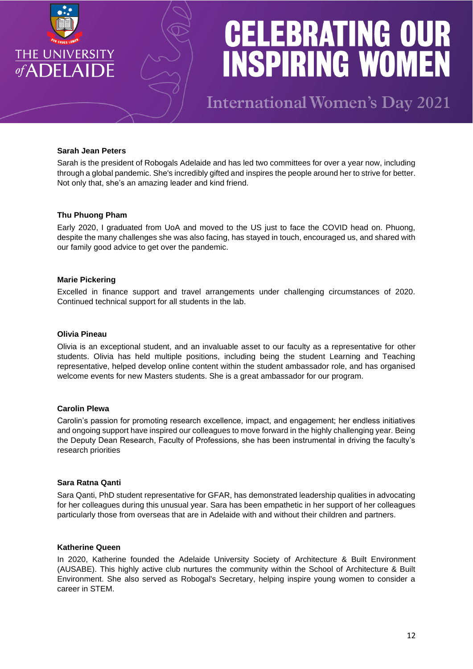

**International Women's Day 2021** 

## **Sarah Jean Peters**

Sarah is the president of Robogals Adelaide and has led two committees for over a year now, including through a global pandemic. She's incredibly gifted and inspires the people around her to strive for better. Not only that, she's an amazing leader and kind friend.

#### **Thu Phuong Pham**

Early 2020, I graduated from UoA and moved to the US just to face the COVID head on. Phuong, despite the many challenges she was also facing, has stayed in touch, encouraged us, and shared with our family good advice to get over the pandemic.

#### **Marie Pickering**

Excelled in finance support and travel arrangements under challenging circumstances of 2020. Continued technical support for all students in the lab.

#### **Olivia Pineau**

Olivia is an exceptional student, and an invaluable asset to our faculty as a representative for other students. Olivia has held multiple positions, including being the student Learning and Teaching representative, helped develop online content within the student ambassador role, and has organised welcome events for new Masters students. She is a great ambassador for our program.

#### **Carolin Plewa**

Carolin's passion for promoting research excellence, impact, and engagement; her endless initiatives and ongoing support have inspired our colleagues to move forward in the highly challenging year. Being the Deputy Dean Research, Faculty of Professions, she has been instrumental in driving the faculty's research priorities

### **Sara Ratna Qanti**

Sara Qanti, PhD student representative for GFAR, has demonstrated leadership qualities in advocating for her colleagues during this unusual year. Sara has been empathetic in her support of her colleagues particularly those from overseas that are in Adelaide with and without their children and partners.

#### **Katherine Queen**

In 2020, Katherine founded the Adelaide University Society of Architecture & Built Environment (AUSABE). This highly active club nurtures the community within the School of Architecture & Built Environment. She also served as Robogal's Secretary, helping inspire young women to consider a career in STEM.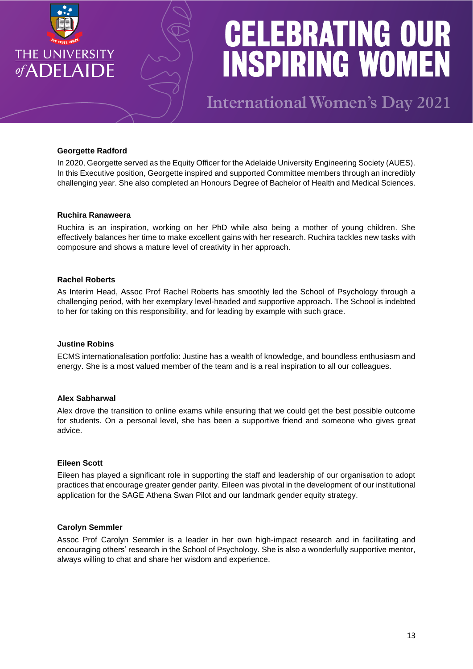

**International Women's Day 2021** 

# **Georgette Radford**

In 2020, Georgette served as the Equity Officer for the Adelaide University Engineering Society (AUES). In this Executive position, Georgette inspired and supported Committee members through an incredibly challenging year. She also completed an Honours Degree of Bachelor of Health and Medical Sciences.

#### **Ruchira Ranaweera**

Ruchira is an inspiration, working on her PhD while also being a mother of young children. She effectively balances her time to make excellent gains with her research. Ruchira tackles new tasks with composure and shows a mature level of creativity in her approach.

#### **Rachel Roberts**

As Interim Head, Assoc Prof Rachel Roberts has smoothly led the School of Psychology through a challenging period, with her exemplary level-headed and supportive approach. The School is indebted to her for taking on this responsibility, and for leading by example with such grace.

## **Justine Robins**

ECMS internationalisation portfolio: Justine has a wealth of knowledge, and boundless enthusiasm and energy. She is a most valued member of the team and is a real inspiration to all our colleagues.

#### **Alex Sabharwal**

Alex drove the transition to online exams while ensuring that we could get the best possible outcome for students. On a personal level, she has been a supportive friend and someone who gives great advice.

#### **Eileen Scott**

Eileen has played a significant role in supporting the staff and leadership of our organisation to adopt practices that encourage greater gender parity. Eileen was pivotal in the development of our institutional application for the SAGE Athena Swan Pilot and our landmark gender equity strategy.

#### **Carolyn Semmler**

Assoc Prof Carolyn Semmler is a leader in her own high-impact research and in facilitating and encouraging others' research in the School of Psychology. She is also a wonderfully supportive mentor, always willing to chat and share her wisdom and experience.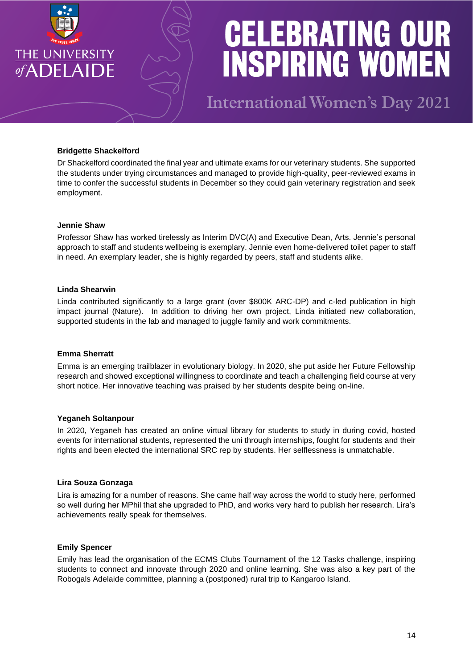

**International Women's Day 2021** 

# **Bridgette Shackelford**

Dr Shackelford coordinated the final year and ultimate exams for our veterinary students. She supported the students under trying circumstances and managed to provide high-quality, peer-reviewed exams in time to confer the successful students in December so they could gain veterinary registration and seek employment.

# **Jennie Shaw**

Professor Shaw has worked tirelessly as Interim DVC(A) and Executive Dean, Arts. Jennie's personal approach to staff and students wellbeing is exemplary. Jennie even home-delivered toilet paper to staff in need. An exemplary leader, she is highly regarded by peers, staff and students alike.

# **Linda Shearwin**

Linda contributed significantly to a large grant (over \$800K ARC-DP) and c-led publication in high impact journal (Nature). In addition to driving her own project, Linda initiated new collaboration, supported students in the lab and managed to juggle family and work commitments.

# **Emma Sherratt**

Emma is an emerging trailblazer in evolutionary biology. In 2020, she put aside her Future Fellowship research and showed exceptional willingness to coordinate and teach a challenging field course at very short notice. Her innovative teaching was praised by her students despite being on-line.

# **Yeganeh Soltanpour**

In 2020, Yeganeh has created an online virtual library for students to study in during covid, hosted events for international students, represented the uni through internships, fought for students and their rights and been elected the international SRC rep by students. Her selflessness is unmatchable.

# **Lira Souza Gonzaga**

Lira is amazing for a number of reasons. She came half way across the world to study here, performed so well during her MPhil that she upgraded to PhD, and works very hard to publish her research. Lira's achievements really speak for themselves.

#### **Emily Spencer**

Emily has lead the organisation of the ECMS Clubs Tournament of the 12 Tasks challenge, inspiring students to connect and innovate through 2020 and online learning. She was also a key part of the Robogals Adelaide committee, planning a (postponed) rural trip to Kangaroo Island.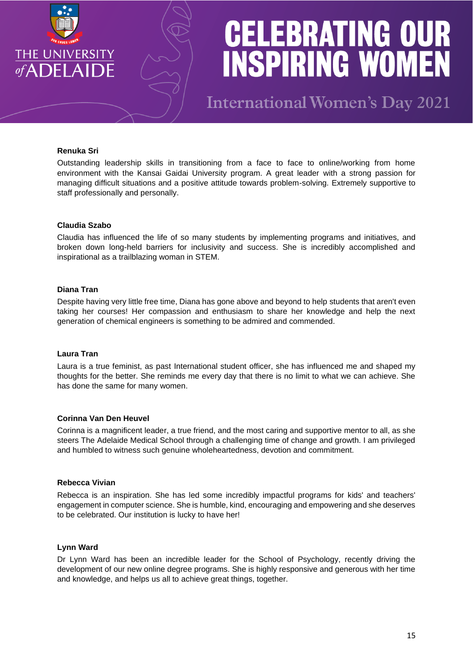

**International Women's Day 2021** 

# **Renuka Sri**

Outstanding leadership skills in transitioning from a face to face to online/working from home environment with the Kansai Gaidai University program. A great leader with a strong passion for managing difficult situations and a positive attitude towards problem-solving. Extremely supportive to staff professionally and personally.

### **Claudia Szabo**

Claudia has influenced the life of so many students by implementing programs and initiatives, and broken down long-held barriers for inclusivity and success. She is incredibly accomplished and inspirational as a trailblazing woman in STEM.

# **Diana Tran**

Despite having very little free time, Diana has gone above and beyond to help students that aren't even taking her courses! Her compassion and enthusiasm to share her knowledge and help the next generation of chemical engineers is something to be admired and commended.

#### **Laura Tran**

Laura is a true feminist, as past International student officer, she has influenced me and shaped my thoughts for the better. She reminds me every day that there is no limit to what we can achieve. She has done the same for many women.

# **Corinna Van Den Heuvel**

Corinna is a magnificent leader, a true friend, and the most caring and supportive mentor to all, as she steers The Adelaide Medical School through a challenging time of change and growth. I am privileged and humbled to witness such genuine wholeheartedness, devotion and commitment.

## **Rebecca Vivian**

Rebecca is an inspiration. She has led some incredibly impactful programs for kids' and teachers' engagement in computer science. She is humble, kind, encouraging and empowering and she deserves to be celebrated. Our institution is lucky to have her!

#### **Lynn Ward**

Dr Lynn Ward has been an incredible leader for the School of Psychology, recently driving the development of our new online degree programs. She is highly responsive and generous with her time and knowledge, and helps us all to achieve great things, together.